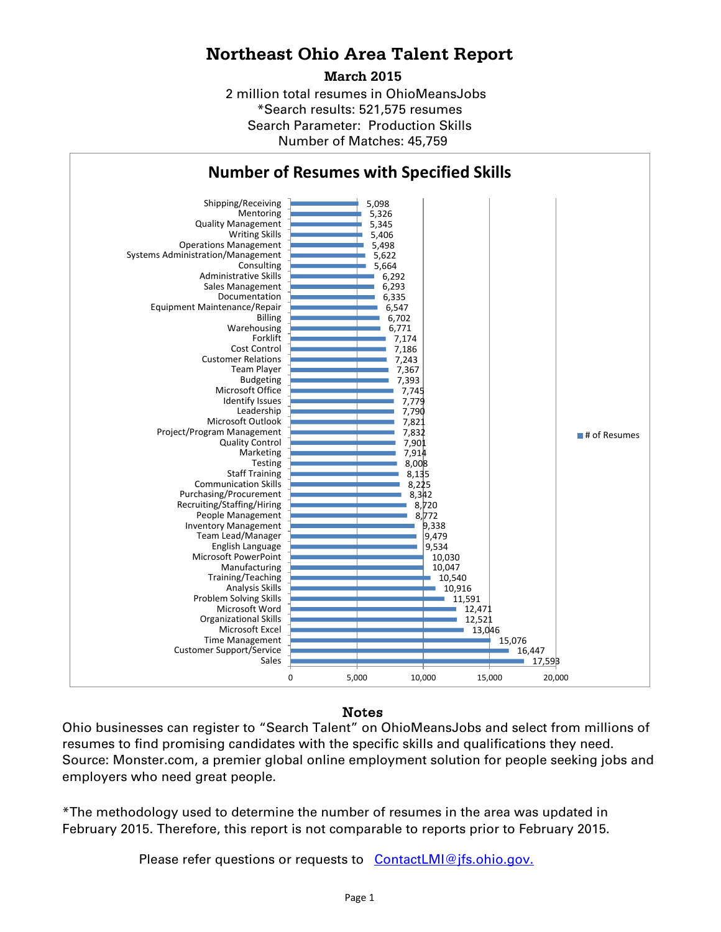### **Northeast Ohio Area Talent Report**

**March 2015**

2 million total resumes in OhioMeansJobs \*Search results: 521,575 resumes Number of Matches: 45,759 Search Parameter: Production Skills



# **Number of Resumes with Specified Skills**

### Notes

Ohio businesses can register to "Search Talent" on OhioMeansJobs and select from millions of resumes to find promising candidates with the specific skills and qualifications they need. Source: Monster.com, a premier global online employment solution for people seeking jobs and employers who need great people.

\*The methodology used to determine the number of resumes in the area was updated in February 2015. Therefore, this report is not comparable to reports prior to February 2015.

Please refer questions or requests to [ContactLMI@jfs.ohio.gov.](mailto:ContactLMI@jfs.ohio.gov.)